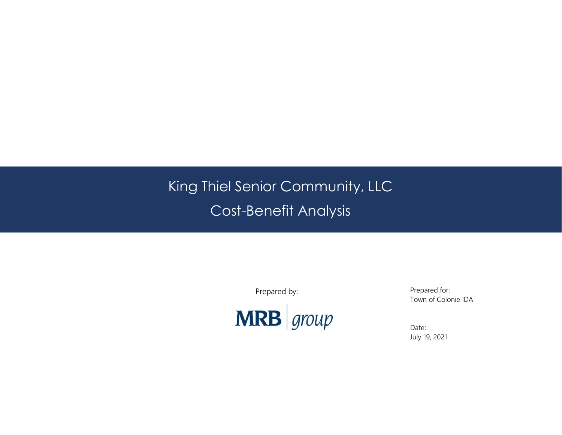# King Thiel Senior Community, LLC Cost-Benefit Analysis

Prepared by:



Prepared for: Town of Colonie IDA

Date: July 19, 2021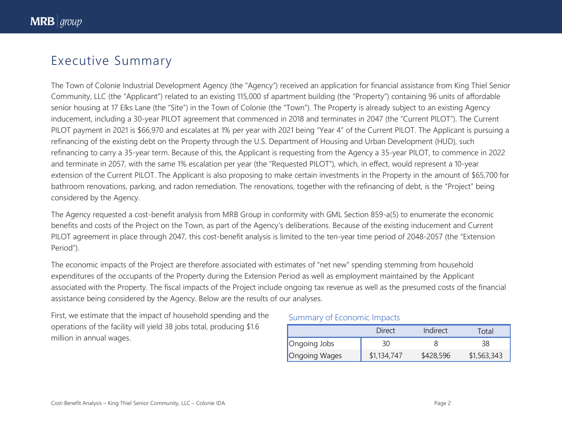# Executive Summary

The Town of Colonie Industrial Development Agency (the "Agency") received an application for financial assistance from King Thiel Senior Community, LLC (the "Applicant") related to an existing 115,000 sf apartment building (the "Property") containing 96 units of affordable senior housing at 17 Elks Lane (the "Site") in the Town of Colonie (the "Town"). The Property is already subject to an existing Agency inducement, including a 30-year PILOT agreement that commenced in 2018 and terminates in 2047 (the "Current PILOT"). The Current PILOT payment in 2021 is \$66,970 and escalates at 1% per year with 2021 being "Year 4" of the Current PILOT. The Applicant is pursuing a refinancing of the existing debt on the Property through the U.S. Department of Housing and Urban Development (HUD), such refinancing to carry a 35-year term. Because of this, the Applicant is requesting from the Agency a 35-year PILOT, to commence in 2022 and terminate in 2057, with the same 1% escalation per year (the "Requested PILOT"), which, in effect, would represent a 10-year extension of the Current PILOT. The Applicant is also proposing to make certain investments in the Property in the amount of \$65,700 for bathroom renovations, parking, and radon remediation. The renovations, together with the refinancing of debt, is the "Project" being considered by the Agency.

The Agency requested a cost-benefit analysis from MRB Group in conformity with GML Section 859-a(5) to enumerate the economic benefits and costs of the Project on the Town, as part of the Agency's deliberations. Because of the existing inducement and Current PILOT agreement in place through 2047, this cost-benefit analysis is limited to the ten-year time period of 2048-2057 (the "Extension Period").

The economic impacts of the Project are therefore associated with estimates of "net new" spending stemming from household expenditures of the occupants of the Property during the Extension Period as well as employment maintained by the Applicant associated with the Property. The fiscal impacts of the Project include ongoing tax revenue as well as the presumed costs of the financial assistance being considered by the Agency. Below are the results of our analyses.

First, we estimate that the impact of household spending and the operations of the facility will yield 38 jobs total, producing \$1.6 million in annual wages.

#### Summary of Economic Impacts

|                      | Direct      | Indirect  | Total       |
|----------------------|-------------|-----------|-------------|
| Ongoing Jobs         | 30          |           |             |
| <b>Ongoing Wages</b> | \$1,134,747 | \$428,596 | \$1,563,343 |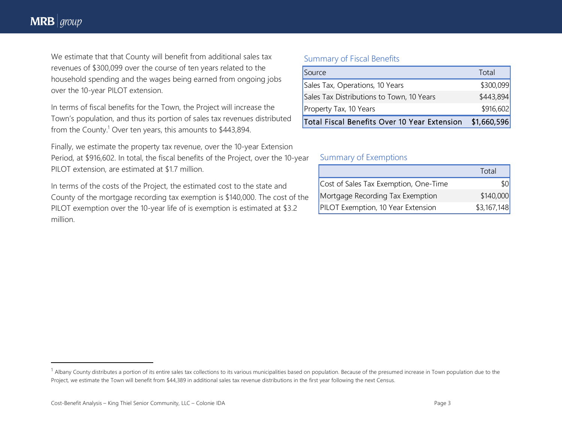## **MRB**  $\vert$  group

 $\overline{\phantom{a}}$ 

We estimate that that County will benefit from additional sales tax revenues of \$300,099 over the course of ten years related to the household spending and the wages being earned from ongoing jobs over the 10-year PILOT extension.

In terms of fiscal benefits for the Town, the Project will increase the Town's population, and thus its portion of sales tax revenues distributed from the County.<sup>1</sup> Over ten years, this amounts to \$443,894.

Finally, we estimate the property tax revenue, over the 10-year Extension Period, at \$916,602. In total, the fiscal benefits of the Project, over the 10-year PILOT extension, are estimated at \$1.7 million.

In terms of the costs of the Project, the estimated cost to the state and County of the mortgage recording tax exemption is \$140,000. The cost of the PILOT exemption over the 10-year life of is exemption is estimated at \$3.2 million.

#### Summary of Fiscal Benefits

| Source                                       | Total       |
|----------------------------------------------|-------------|
| Sales Tax, Operations, 10 Years              | \$300,099   |
| Sales Tax Distributions to Town, 10 Years    | \$443,894   |
| Property Tax, 10 Years                       | \$916,602   |
| Total Fiscal Benefits Over 10 Year Extension | \$1,660,596 |

#### Summary of Exemptions

|                                       | Total       |
|---------------------------------------|-------------|
| Cost of Sales Tax Exemption, One-Time | <b>\$0</b>  |
| Mortgage Recording Tax Exemption      | \$140,000   |
| PILOT Exemption, 10 Year Extension    | \$3,167,148 |

<sup>&</sup>lt;sup>1</sup> Albany County distributes a portion of its entire sales tax collections to its various municipalities based on population. Because of the presumed increase in Town population due to the Project, we estimate the Town will benefit from \$44,389 in additional sales tax revenue distributions in the first year following the next Census.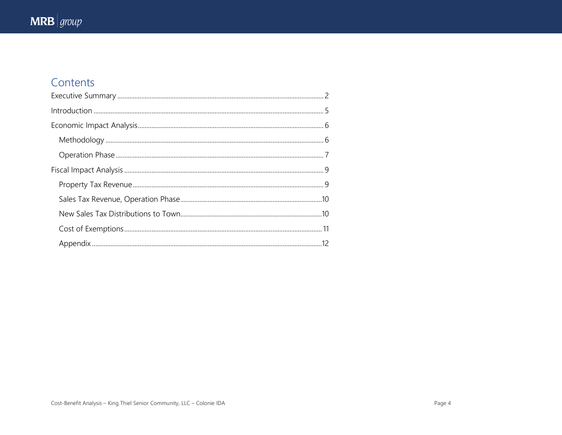# Contents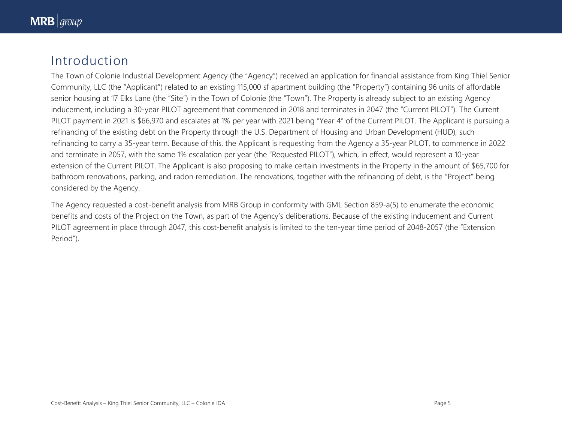# Introduction

The Town of Colonie Industrial Development Agency (the "Agency") received an application for financial assistance from King Thiel Senior Community, LLC (the "Applicant") related to an existing 115,000 sf apartment building (the "Property") containing 96 units of affordable senior housing at 17 Elks Lane (the "Site") in the Town of Colonie (the "Town"). The Property is already subject to an existing Agency inducement, including a 30-year PILOT agreement that commenced in 2018 and terminates in 2047 (the "Current PILOT"). The Current PILOT payment in 2021 is \$66,970 and escalates at 1% per year with 2021 being "Year 4" of the Current PILOT. The Applicant is pursuing a refinancing of the existing debt on the Property through the U.S. Department of Housing and Urban Development (HUD), such refinancing to carry a 35-year term. Because of this, the Applicant is requesting from the Agency a 35-year PILOT, to commence in 2022 and terminate in 2057, with the same 1% escalation per year (the "Requested PILOT"), which, in effect, would represent a 10-year extension of the Current PILOT. The Applicant is also proposing to make certain investments in the Property in the amount of \$65,700 for bathroom renovations, parking, and radon remediation. The renovations, together with the refinancing of debt, is the "Project" being considered by the Agency.

The Agency requested a cost-benefit analysis from MRB Group in conformity with GML Section 859-a(5) to enumerate the economic benefits and costs of the Project on the Town, as part of the Agency's deliberations. Because of the existing inducement and Current PILOT agreement in place through 2047, this cost-benefit analysis is limited to the ten-year time period of 2048-2057 (the "Extension Period").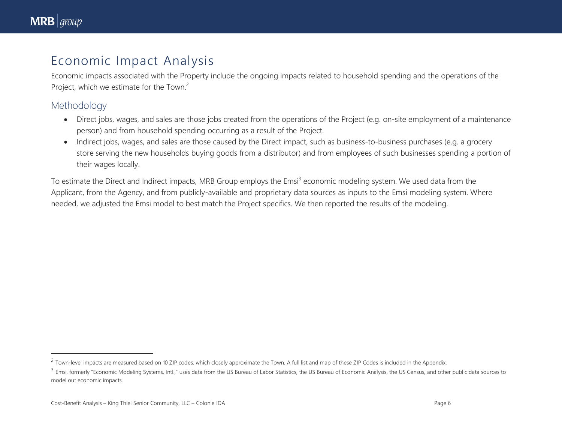$\overline{a}$ 

# Economic Impact Analysis

Economic impacts associated with the Property include the ongoing impacts related to household spending and the operations of the Project, which we estimate for the Town.<sup>2</sup>

### Methodology

- Direct jobs, wages, and sales are those jobs created from the operations of the Project (e.g. on-site employment of a maintenance person) and from household spending occurring as a result of the Project.
- Indirect jobs, wages, and sales are those caused by the Direct impact, such as business-to-business purchases (e.g. a grocery store serving the new households buying goods from a distributor) and from employees of such businesses spending a portion of their wages locally.

To estimate the Direct and Indirect impacts, MRB Group employs the Emsi<sup>3</sup> economic modeling system. We used data from the Applicant, from the Agency, and from publicly-available and proprietary data sources as inputs to the Emsi modeling system. Where needed, we adjusted the Emsi model to best match the Project specifics. We then reported the results of the modeling.

 $^2$  Town-level impacts are measured based on 10 ZIP codes, which closely approximate the Town. A full list and map of these ZIP Codes is included in the Appendix.

<sup>&</sup>lt;sup>3</sup> Emsi, formerly "Economic Modeling Systems, Intl.," uses data from the US Bureau of Labor Statistics, the US Bureau of Economic Analysis, the US Census, and other public data sources to model out economic impacts.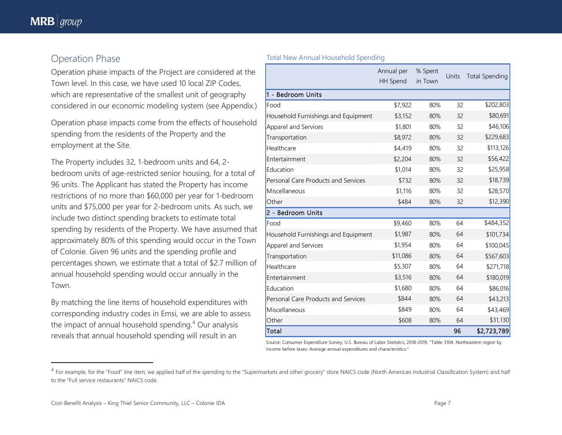$\overline{\phantom{a}}$ 

### Operation Phase

Operation phase impacts of the Project are considered at the Town level. In this case, we have used 10 local ZIP Codes, which are representative of the smallest unit of geography considered in our economic modeling system (see Appendix.)

Operation phase impacts come from the effects of household spending from the residents of the Property and the employment at the Site.

The Property includes 32, 1-bedroom units and 64, 2 bedroom units of age-restricted senior housing, for a total of 96 units. The Applicant has stated the Property has income restrictions of no more than \$60,000 per year for 1-bedroom units and \$75,000 per year for 2-bedroom units. As such, we include two distinct spending brackets to estimate total spending by residents of the Property. We have assumed that approximately 80% of this spending would occur in the Town of Colonie. Given 96 units and the spending profile and percentages shown, we estimate that a total of \$2.7 million of annual household spending would occur annually in the Town.

By matching the line items of household expenditures with corresponding industry codes in Emsi, we are able to assess the impact of annual household spending. <sup>4</sup> Our analysis reveals that annual household spending will result in an

|                                     | Annual per<br>HH Spend | % Spent<br>in Town | Units | <b>Total Spending</b> |
|-------------------------------------|------------------------|--------------------|-------|-----------------------|
| 1 - Bedroom Units                   |                        |                    |       |                       |
| Food                                | \$7,922                | 80%                | 32    | \$202,803             |
| Household Furnishings and Equipment | \$3,152                | 80%                | 32    | \$80,691              |
| Apparel and Services                | \$1,801                | 80%                | 32    | \$46,106              |
| Transportation                      | \$8,972                | 80%                | 32    | \$229,683             |
| Healthcare                          | \$4,419                | 80%                | 32    | \$113,126             |
| Entertainment                       | \$2,204                | 80%                | 32    | \$56,422              |
| Education                           | \$1,014                | 80%                | 32    | \$25,958              |
| Personal Care Products and Services | \$732                  | 80%                | 32    | \$18,739              |
| Miscellaneous                       | \$1,116                | 80%                | 32    | \$28,570              |
| Other                               | \$484                  | 80%                | 32    | \$12,390              |
| 2 - Bedroom Units                   |                        |                    |       |                       |
| Food                                | \$9,460                | 80%                | 64    | \$484,352             |
| Household Furnishings and Equipment | \$1,987                | 80%                | 64    | \$101,734             |
| Apparel and Services                | \$1,954                | 80%                | 64    | \$100,045             |
| Transportation                      | \$11,086               | 80%                | 64    | \$567,603             |
| Healthcare                          | \$5,307                | 80%                | 64    | \$271,718             |
| Entertainment                       | \$3,516                | 80%                | 64    | \$180,019             |
| Education                           | \$1,680                | 80%                | 64    | \$86,016              |
| Personal Care Products and Services | \$844                  | 80%                | 64    | \$43,213              |
| Miscellaneous                       | \$849                  | 80%                | 64    | \$43,469              |
| Other                               | \$608                  | 80%                | 64    | \$31,130              |
| Total                               |                        |                    | 96    | \$2,723,789           |

Total New Annual Household Spending

Source: Consumer Expenditure Survey, U.S. Bureau of Labor Statistics, 2018-2019, "Table 3104. Northeastern region by income before taxes: Average annual expenditures and characteristics."

<sup>&</sup>lt;sup>4</sup> For example, for the "Food" line item, we applied half of the spending to the "Supermarkets and other grocery" store NAICS code (North American Industrial Classification System) and half to the "Full service restaurants" NAICS code.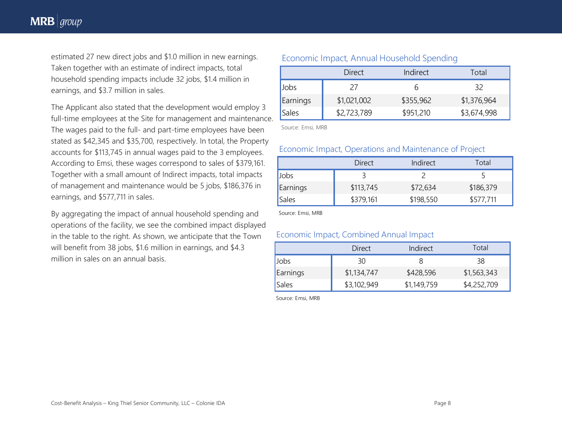estimated 27 new direct jobs and \$1.0 million in new earnings. Taken together with an estimate of indirect impacts, total household spending impacts include 32 jobs, \$1.4 million in earnings, and \$3.7 million in sales.

The Applicant also stated that the development would employ 3 full-time employees at the Site for management and maintenance. The wages paid to the full- and part-time employees have been stated as \$42,345 and \$35,700, respectively. In total, the Property accounts for \$113,745 in annual wages paid to the 3 employees. According to Emsi, these wages correspond to sales of \$379,161. Together with a small amount of Indirect impacts, total impacts of management and maintenance would be 5 jobs, \$186,376 in earnings, and \$577,711 in sales.

By aggregating the impact of annual household spending and operations of the facility, we see the combined impact displayed in the table to the right. As shown, we anticipate that the Town will benefit from 38 jobs, \$1.6 million in earnings, and \$4.3 million in sales on an annual basis.

#### Economic Impact, Annual Household Spending

|              | <b>Direct</b> | Indirect  | Total       |
|--------------|---------------|-----------|-------------|
| Jobs         | 27            |           | 32          |
| Earnings     | \$1,021,002   | \$355,962 | \$1,376,964 |
| <b>Sales</b> | \$2,723,789   | \$951,210 | \$3,674,998 |

Source: Emsi, MRB

#### Economic Impact, Operations and Maintenance of Project

|          | Direct    | Indirect  | Total     |
|----------|-----------|-----------|-----------|
| Jobs     |           |           |           |
| Earnings | \$113,745 | \$72,634  | \$186,379 |
| Sales    | \$379,161 | \$198,550 | \$577,711 |

Source: Emsi, MRB

#### Economic Impact, Combined Annual Impact

|          | Direct      | Indirect    | Total       |
|----------|-------------|-------------|-------------|
| Jobs     | 30          | ŏ           | 38          |
| Earnings | \$1,134,747 | \$428,596   | \$1,563,343 |
| Sales    | \$3,102,949 | \$1,149,759 | \$4,252,709 |

Source: Emsi, MRB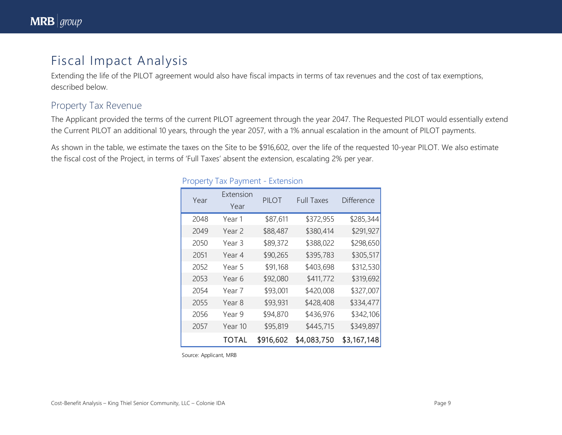# Fiscal Impact Analysis

Extending the life of the PILOT agreement would also have fiscal impacts in terms of tax revenues and the cost of tax exemptions, described below.

### Property Tax Revenue

The Applicant provided the terms of the current PILOT agreement through the year 2047. The Requested PILOT would essentially extend the Current PILOT an additional 10 years, through the year 2057, with a 1% annual escalation in the amount of PILOT payments.

As shown in the table, we estimate the taxes on the Site to be \$916,602, over the life of the requested 10-year PILOT. We also estimate the fiscal cost of the Project, in terms of 'Full Taxes' absent the extension, escalating 2% per year.

| Year | Extension<br>Year | PILOT     | <b>Full Taxes</b> | <b>Difference</b> |
|------|-------------------|-----------|-------------------|-------------------|
| 2048 | Year 1            | \$87,611  | \$372,955         | \$285,344         |
| 2049 | Year <sub>2</sub> | \$88,487  | \$380,414         | \$291,927         |
| 2050 | Year 3            | \$89,372  | \$388,022         | \$298,650         |
| 2051 | Year 4            | \$90,265  | \$395,783         | \$305,517         |
| 2052 | Year 5            | \$91,168  | \$403,698         | \$312,530         |
| 2053 | Year 6            | \$92,080  | \$411,772         | \$319,692         |
| 2054 | Year 7            | \$93,001  | \$420,008         | \$327,007         |
| 2055 | Year <sub>8</sub> | \$93,931  | \$428,408         | \$334,477         |
| 2056 | Year 9            | \$94,870  | \$436,976         | \$342,106         |
| 2057 | Year 10           | \$95,819  | \$445,715         | \$349,897         |
|      | <b>TOTAL</b>      | \$916,602 | \$4,083,750       | \$3,167,148       |

#### Property Tax Payment - Extension

Source: Applicant, MRB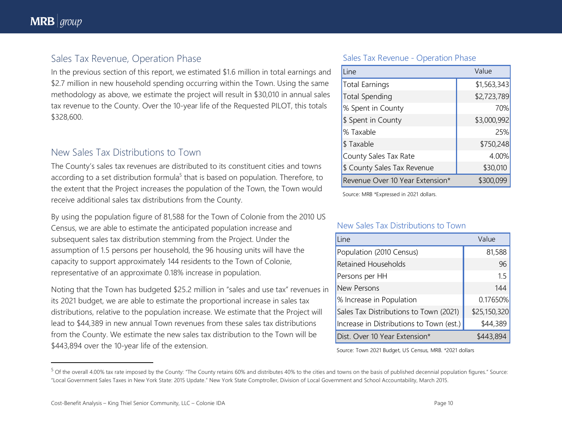$\overline{\phantom{a}}$ 

### Sales Tax Revenue, Operation Phase

In the previous section of this report, we estimated \$1.6 million in total earnings and \$2.7 million in new household spending occurring within the Town. Using the same methodology as above, we estimate the project will result in \$30,010 in annual sales tax revenue to the County. Over the 10-year life of the Requested PILOT, this totals \$328,600.

### New Sales Tax Distributions to Town

The County's sales tax revenues are distributed to its constituent cities and towns according to a set distribution formula<sup>5</sup> that is based on population. Therefore, to the extent that the Project increases the population of the Town, the Town would receive additional sales tax distributions from the County.

By using the population figure of 81,588 for the Town of Colonie from the 2010 US Census, we are able to estimate the anticipated population increase and subsequent sales tax distribution stemming from the Project. Under the assumption of 1.5 persons per household, the 96 housing units will have the capacity to support approximately 144 residents to the Town of Colonie, representative of an approximate 0.18% increase in population.

Noting that the Town has budgeted \$25.2 million in "sales and use tax" revenues in its 2021 budget, we are able to estimate the proportional increase in sales tax distributions, relative to the population increase. We estimate that the Project will lead to \$44,389 in new annual Town revenues from these sales tax distributions from the County. We estimate the new sales tax distribution to the Town will be \$443,894 over the 10-year life of the extension.

#### Sales Tax Revenue - Operation Phase

| Line                            | Value       |
|---------------------------------|-------------|
| <b>Total Earnings</b>           | \$1,563,343 |
| <b>Total Spending</b>           | \$2,723,789 |
| % Spent in County               | 70%         |
| \$ Spent in County              | \$3,000,992 |
| % Taxable                       | 25%         |
| \$Taxable                       | \$750,248   |
| County Sales Tax Rate           | 4.00%       |
| \$ County Sales Tax Revenue     | \$30,010    |
| Revenue Over 10 Year Extension* | \$300,099   |

Source: MRB \*Expressed in 2021 dollars.

#### New Sales Tax Distributions to Town

| Line                                     | Value        |
|------------------------------------------|--------------|
| Population (2010 Census)                 | 81,588       |
| <b>Retained Households</b>               | 96           |
| Persons per HH                           | 1.5          |
| New Persons                              | 144          |
| % Increase in Population                 | 0.17650%     |
| Sales Tax Distributions to Town (2021)   | \$25,150,320 |
| Increase in Distributions to Town (est.) | \$44,389     |
| Dist. Over 10 Year Extension*            | \$443,894    |

Source: Town 2021 Budget, US Census, MRB. \*2021 dollars

<sup>&</sup>lt;sup>5</sup> Of the overall 4.00% tax rate imposed by the County: "The County retains 60% and distributes 40% to the cities and towns on the basis of published decennial population figures." Source: "Local Government Sales Taxes in New York State: 2015 Update." New York State Comptroller, Division of Local Government and School Accountability, March 2015.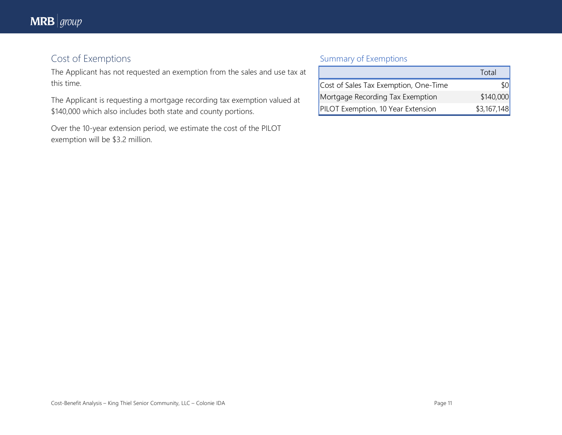# Cost of Exemptions

The Applicant has not requested an exemption from the sales and use tax at this time.

The Applicant is requesting a mortgage recording tax exemption valued at \$140,000 which also includes both state and county portions.

Over the 10-year extension period, we estimate the cost of the PILOT exemption will be \$3.2 million.

### Summary of Exemptions

|                                       | Total       |
|---------------------------------------|-------------|
| Cost of Sales Tax Exemption, One-Time |             |
| Mortgage Recording Tax Exemption      | \$140,000   |
| PILOT Exemption, 10 Year Extension    | \$3,167,148 |